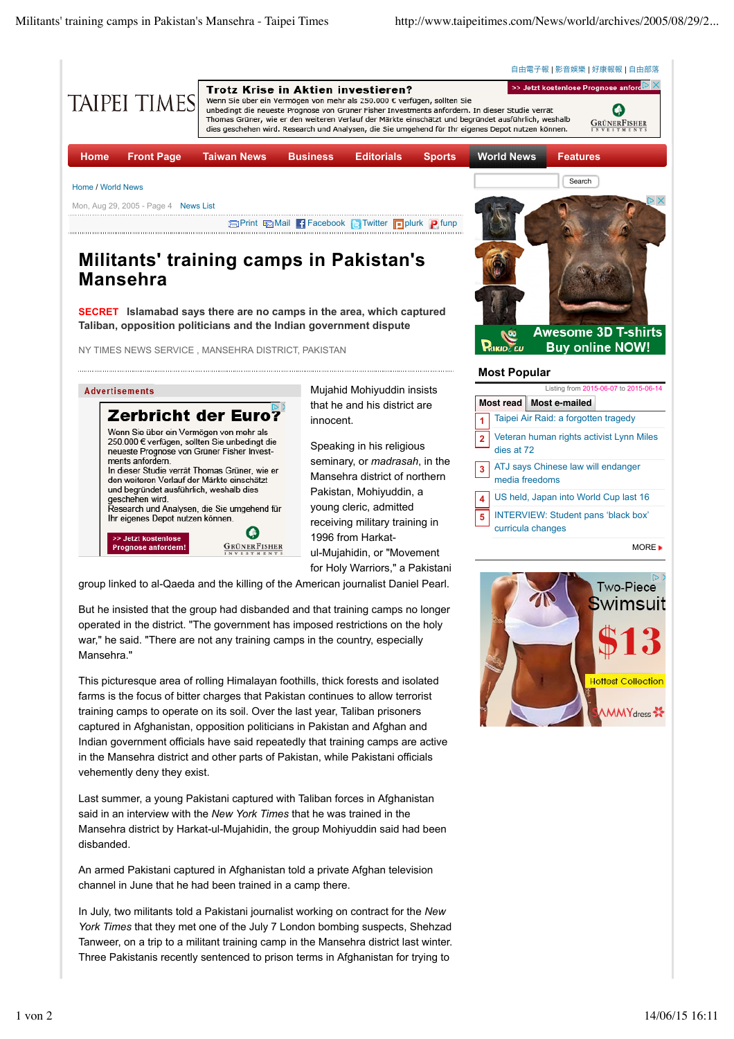

Last summer, a young Pakistani captured with Taliban forces in Afghanistan said in an interview with the *New York Times* that he was trained in the Mansehra district by Harkat-ul-Mujahidin, the group Mohiyuddin said had been disbanded.

An armed Pakistani captured in Afghanistan told a private Afghan television channel in June that he had been trained in a camp there.

In July, two militants told a Pakistani journalist working on contract for the *New York Times* that they met one of the July 7 London bombing suspects, Shehzad Tanweer, on a trip to a militant training camp in the Mansehra district last winter. Three Pakistanis recently sentenced to prison terms in Afghanistan for trying to